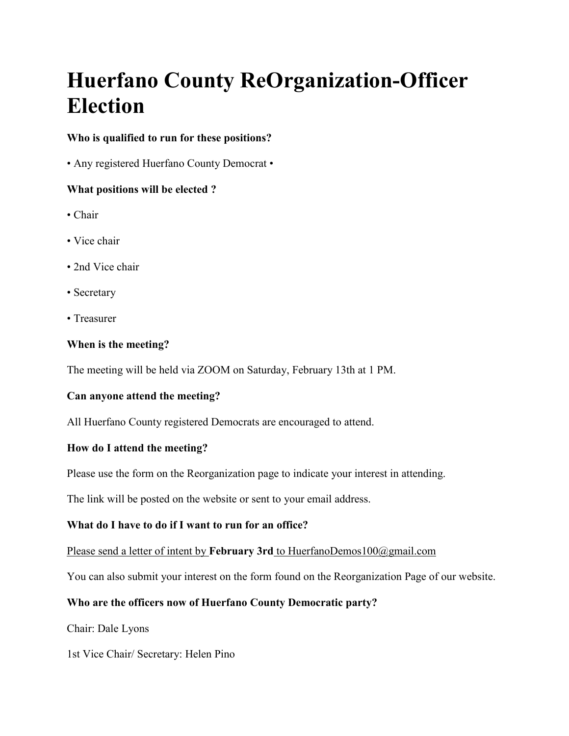# **Huerfano County ReOrganization-Officer Election**

# **Who is qualified to run for these positions?**

• Any registered Huerfano County Democrat •

## **What positions will be elected ?**

- Chair
- Vice chair
- 2nd Vice chair
- Secretary
- Treasurer

## **When is the meeting?**

The meeting will be held via ZOOM on Saturday, February 13th at 1 PM.

## **Can anyone attend the meeting?**

All Huerfano County registered Democrats are encouraged to attend.

# **How do I attend the meeting?**

Please use the form on the Reorganization page to indicate your interest in attending.

The link will be posted on the website or sent to your email address.

## **What do I have to do if I want to run for an office?**

Please send a letter of intent by **February 3rd** to HuerfanoDemos100@gmail.com

You can also submit your interest on the form found on the Reorganization Page of our website.

# **Who are the officers now of Huerfano County Democratic party?**

Chair: Dale Lyons

1st Vice Chair/ Secretary: Helen Pino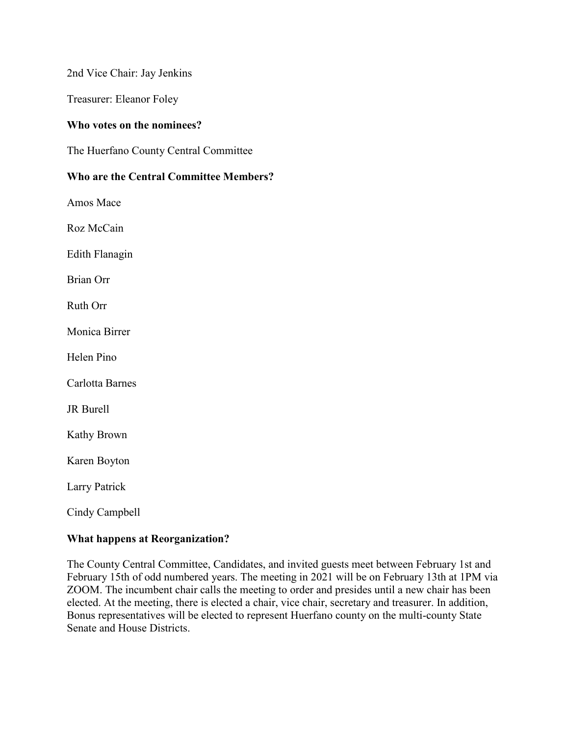2nd Vice Chair: Jay Jenkins

Treasurer: Eleanor Foley

### **Who votes on the nominees?**

The Huerfano County Central Committee

### **Who are the Central Committee Members?**

Amos Mace

Roz McCain

Edith Flanagin

Brian Orr

Ruth Orr

Monica Birrer

Helen Pino

Carlotta Barnes

JR Burell

Kathy Brown

Karen Boyton

Larry Patrick

Cindy Campbell

#### **What happens at Reorganization?**

The County Central Committee, Candidates, and invited guests meet between February 1st and February 15th of odd numbered years. The meeting in 2021 will be on February 13th at 1PM via ZOOM. The incumbent chair calls the meeting to order and presides until a new chair has been elected. At the meeting, there is elected a chair, vice chair, secretary and treasurer. In addition, Bonus representatives will be elected to represent Huerfano county on the multi-county State Senate and House Districts.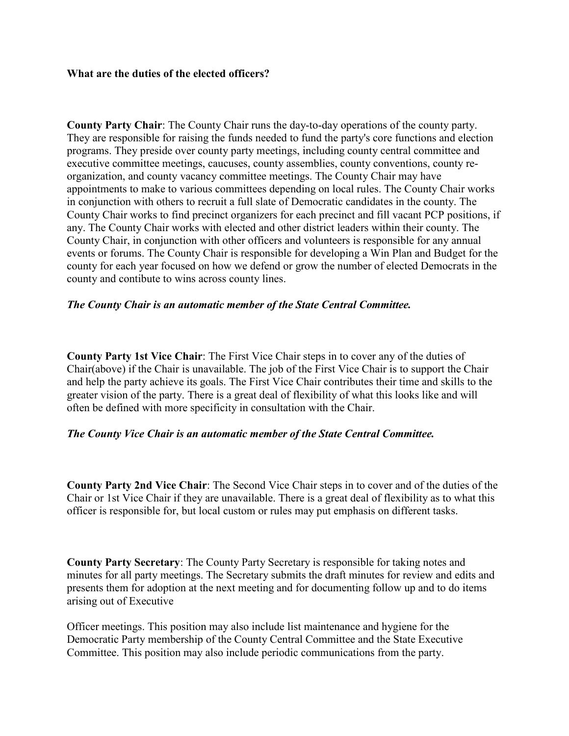#### **What are the duties of the elected officers?**

**County Party Chair**: The County Chair runs the day-to-day operations of the county party. They are responsible for raising the funds needed to fund the party's core functions and election programs. They preside over county party meetings, including county central committee and executive committee meetings, caucuses, county assemblies, county conventions, county reorganization, and county vacancy committee meetings. The County Chair may have appointments to make to various committees depending on local rules. The County Chair works in conjunction with others to recruit a full slate of Democratic candidates in the county. The County Chair works to find precinct organizers for each precinct and fill vacant PCP positions, if any. The County Chair works with elected and other district leaders within their county. The County Chair, in conjunction with other officers and volunteers is responsible for any annual events or forums. The County Chair is responsible for developing a Win Plan and Budget for the county for each year focused on how we defend or grow the number of elected Democrats in the county and contibute to wins across county lines.

### *The County Chair is an automatic member of the State Central Committee.*

**County Party 1st Vice Chair**: The First Vice Chair steps in to cover any of the duties of Chair(above) if the Chair is unavailable. The job of the First Vice Chair is to support the Chair and help the party achieve its goals. The First Vice Chair contributes their time and skills to the greater vision of the party. There is a great deal of flexibility of what this looks like and will often be defined with more specificity in consultation with the Chair.

#### *The County Vice Chair is an automatic member of the State Central Committee.*

**County Party 2nd Vice Chair**: The Second Vice Chair steps in to cover and of the duties of the Chair or 1st Vice Chair if they are unavailable. There is a great deal of flexibility as to what this officer is responsible for, but local custom or rules may put emphasis on different tasks.

**County Party Secretary**: The County Party Secretary is responsible for taking notes and minutes for all party meetings. The Secretary submits the draft minutes for review and edits and presents them for adoption at the next meeting and for documenting follow up and to do items arising out of Executive

Officer meetings. This position may also include list maintenance and hygiene for the Democratic Party membership of the County Central Committee and the State Executive Committee. This position may also include periodic communications from the party.